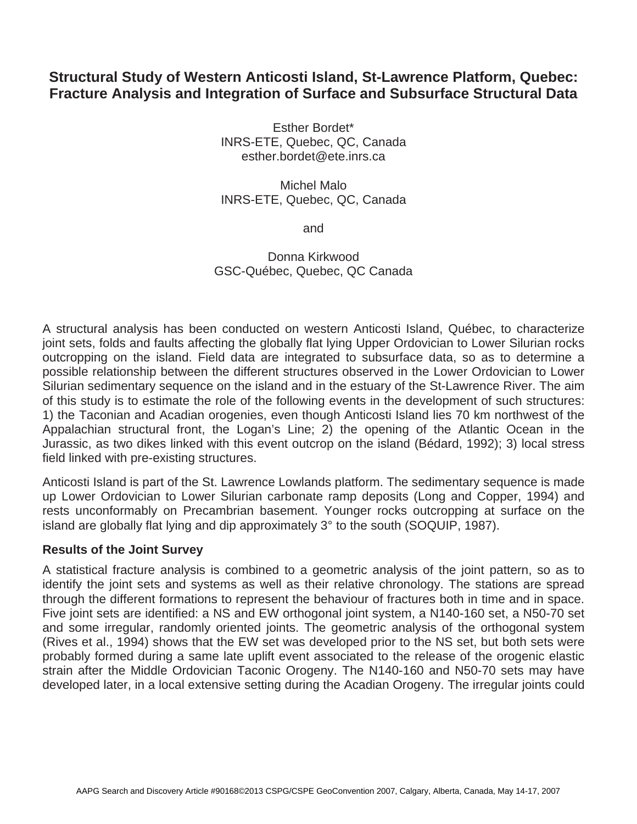# **Structural Study of Western Anticosti Island, St-Lawrence Platform, Quebec: Fracture Analysis and Integration of Surface and Subsurface Structural Data**

Esther Bordet\* INRS-ETE, Quebec, QC, Canada esther.bordet@ete.inrs.ca

Michel Malo INRS-ETE, Quebec, QC, Canada

and

## Donna Kirkwood GSC-Québec, Quebec, QC Canada

A structural analysis has been conducted on western Anticosti Island, Québec, to characterize joint sets, folds and faults affecting the globally flat lying Upper Ordovician to Lower Silurian rocks outcropping on the island. Field data are integrated to subsurface data, so as to determine a possible relationship between the different structures observed in the Lower Ordovician to Lower Silurian sedimentary sequence on the island and in the estuary of the St-Lawrence River. The aim of this study is to estimate the role of the following events in the development of such structures: 1) the Taconian and Acadian orogenies, even though Anticosti Island lies 70 km northwest of the Appalachian structural front, the Logan's Line; 2) the opening of the Atlantic Ocean in the Jurassic, as two dikes linked with this event outcrop on the island (Bédard, 1992); 3) local stress field linked with pre-existing structures.

Anticosti Island is part of the St. Lawrence Lowlands platform. The sedimentary sequence is made up Lower Ordovician to Lower Silurian carbonate ramp deposits (Long and Copper, 1994) and rests unconformably on Precambrian basement. Younger rocks outcropping at surface on the island are globally flat lying and dip approximately 3° to the south (SOQUIP, 1987).

### **Results of the Joint Survey**

A statistical fracture analysis is combined to a geometric analysis of the joint pattern, so as to identify the joint sets and systems as well as their relative chronology. The stations are spread through the different formations to represent the behaviour of fractures both in time and in space. Five joint sets are identified: a NS and EW orthogonal joint system, a N140-160 set, a N50-70 set and some irregular, randomly oriented joints. The geometric analysis of the orthogonal system (Rives et al., 1994) shows that the EW set was developed prior to the NS set, but both sets were probably formed during a same late uplift event associated to the release of the orogenic elastic strain after the Middle Ordovician Taconic Orogeny. The N140-160 and N50-70 sets may have developed later, in a local extensive setting during the Acadian Orogeny. The irregular joints could